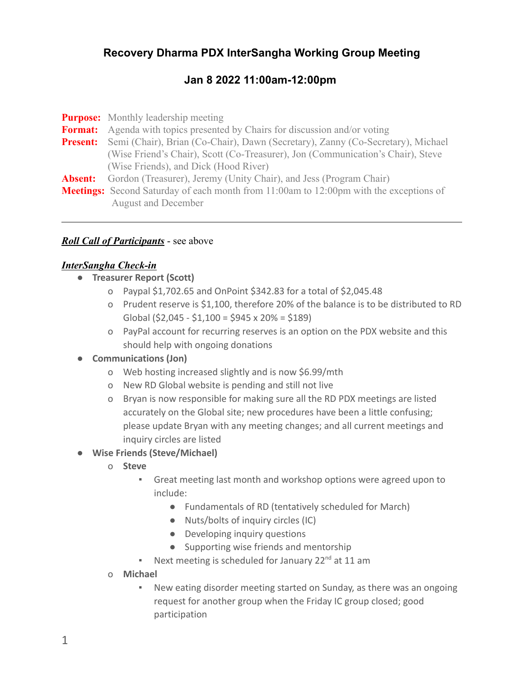# **Recovery Dharma PDX InterSangha Working Group Meeting**

# **Jan 8 2022 11:00am-12:00pm**

|                | <b>Purpose:</b> Monthly leadership meeting                                                    |
|----------------|-----------------------------------------------------------------------------------------------|
|                | <b>Format:</b> Agenda with topics presented by Chairs for discussion and/or voting            |
|                | Present: Semi (Chair), Brian (Co-Chair), Dawn (Secretary), Zanny (Co-Secretary), Michael      |
|                | (Wise Friend's Chair), Scott (Co-Treasurer), Jon (Communication's Chair), Steve               |
|                | (Wise Friends), and Dick (Hood River)                                                         |
| <b>Absent:</b> | Gordon (Treasurer), Jeremy (Unity Chair), and Jess (Program Chair)                            |
|                | <b>Meetings:</b> Second Saturday of each month from 11:00am to 12:00pm with the exceptions of |
|                | <b>August and December</b>                                                                    |

### *Roll Call of Participants* - see above

#### *InterSangha Check-in*

- **● Treasurer Report (Scott)**
	- o Paypal \$1,702.65 and OnPoint \$342.83 for a total of \$2,045.48
	- o Prudent reserve is \$1,100, therefore 20% of the balance is to be distributed to RD Global (\$2,045 - \$1,100 = \$945 x 20% = \$189)
	- o PayPal account for recurring reserves is an option on the PDX website and this should help with ongoing donations

#### **● Communications (Jon)**

- o Web hosting increased slightly and is now \$6.99/mth
- o New RD Global website is pending and still not live
- o Bryan is now responsible for making sure all the RD PDX meetings are listed accurately on the Global site; new procedures have been a little confusing; please update Bryan with any meeting changes; and all current meetings and inquiry circles are listed

#### ● **Wise Friends (Steve/Michael)**

- o **Steve**
	- Great meeting last month and workshop options were agreed upon to include:
		- Fundamentals of RD (tentatively scheduled for March)
		- Nuts/bolts of inquiry circles (IC)
		- Developing inquiry questions
		- Supporting wise friends and mentorship
	- **•** Next meeting is scheduled for January  $22^{nd}$  at 11 am
- o **Michael**
	- New eating disorder meeting started on Sunday, as there was an ongoing request for another group when the Friday IC group closed; good participation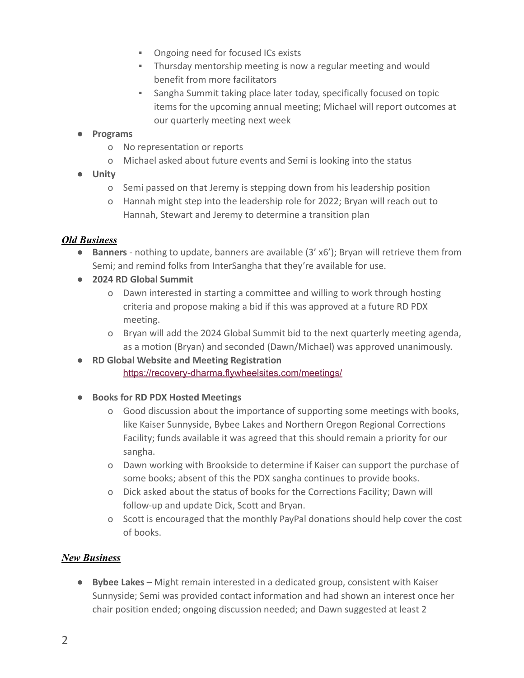- Ongoing need for focused ICs exists
- Thursday mentorship meeting is now a regular meeting and would benefit from more facilitators
- Sangha Summit taking place later today, specifically focused on topic items for the upcoming annual meeting; Michael will report outcomes at our quarterly meeting next week

### ● **Programs**

- o No representation or reports
- o Michael asked about future events and Semi is looking into the status
- **Unity**
	- o Semi passed on that Jeremy is stepping down from his leadership position
	- o Hannah might step into the leadership role for 2022; Bryan will reach out to Hannah, Stewart and Jeremy to determine a transition plan

### *Old Business*

- **Banners** nothing to update, banners are available (3' x6'); Bryan will retrieve them from Semi; and remind folks from InterSangha that they're available for use.
- **2024 RD Global Summit**
	- o Dawn interested in starting a committee and willing to work through hosting criteria and propose making a bid if this was approved at a future RD PDX meeting.
	- o Bryan will add the 2024 Global Summit bid to the next quarterly meeting agenda, as a motion (Bryan) and seconded (Dawn/Michael) was approved unanimously.
- **● RD Global Website and Meeting Registration** <https://recovery-dharma.flywheelsites.com/meetings/>
- **Books for RD PDX Hosted Meetings**
	- o Good discussion about the importance of supporting some meetings with books, like Kaiser Sunnyside, Bybee Lakes and Northern Oregon Regional Corrections Facility; funds available it was agreed that this should remain a priority for our sangha.
	- o Dawn working with Brookside to determine if Kaiser can support the purchase of some books; absent of this the PDX sangha continues to provide books.
	- o Dick asked about the status of books for the Corrections Facility; Dawn will follow-up and update Dick, Scott and Bryan.
	- o Scott is encouraged that the monthly PayPal donations should help cover the cost of books.

## *New Business*

**● Bybee Lakes** – Might remain interested in a dedicated group, consistent with Kaiser Sunnyside; Semi was provided contact information and had shown an interest once her chair position ended; ongoing discussion needed; and Dawn suggested at least 2